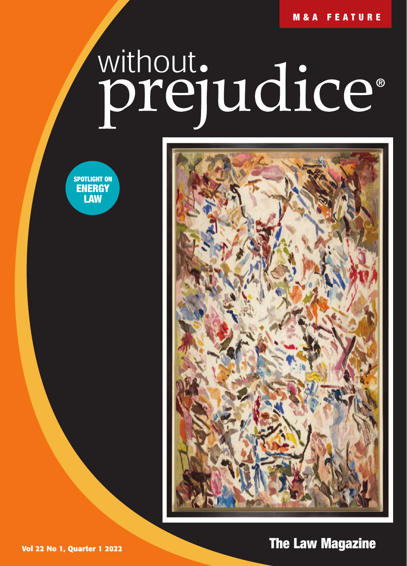**M&A FEATURE**

## without.<br>**prejudice**®





**Vol 22 No 1, Quarter 1 2022 The Law Magazine The Law Magazine**